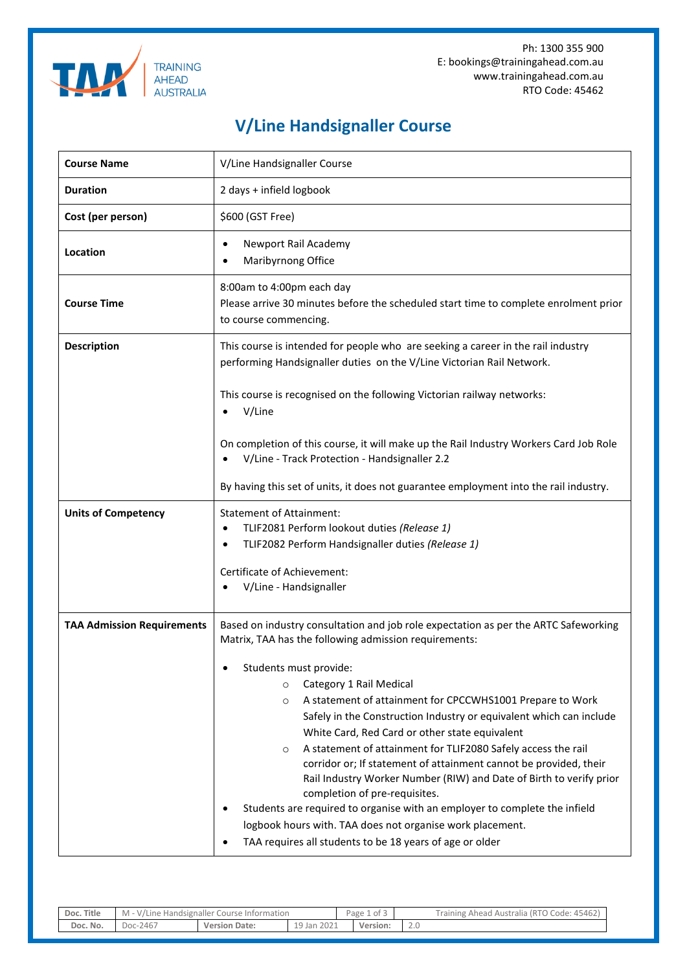



**TRAINING AHEAD AUSTRALIA** 

| <b>Course Name</b>                | V/Line Handsignaller Course                                                                                                                                                                                                                                                                                                                                                                                                                                                                                                                                                                                                                                                                                                                                                                                                                                                   |  |  |  |  |  |  |
|-----------------------------------|-------------------------------------------------------------------------------------------------------------------------------------------------------------------------------------------------------------------------------------------------------------------------------------------------------------------------------------------------------------------------------------------------------------------------------------------------------------------------------------------------------------------------------------------------------------------------------------------------------------------------------------------------------------------------------------------------------------------------------------------------------------------------------------------------------------------------------------------------------------------------------|--|--|--|--|--|--|
| <b>Duration</b>                   | 2 days + infield logbook                                                                                                                                                                                                                                                                                                                                                                                                                                                                                                                                                                                                                                                                                                                                                                                                                                                      |  |  |  |  |  |  |
| Cost (per person)                 | \$600 (GST Free)                                                                                                                                                                                                                                                                                                                                                                                                                                                                                                                                                                                                                                                                                                                                                                                                                                                              |  |  |  |  |  |  |
| Location                          | Newport Rail Academy<br>Maribyrnong Office                                                                                                                                                                                                                                                                                                                                                                                                                                                                                                                                                                                                                                                                                                                                                                                                                                    |  |  |  |  |  |  |
| <b>Course Time</b>                | 8:00am to 4:00pm each day<br>Please arrive 30 minutes before the scheduled start time to complete enrolment prior<br>to course commencing.                                                                                                                                                                                                                                                                                                                                                                                                                                                                                                                                                                                                                                                                                                                                    |  |  |  |  |  |  |
| <b>Description</b>                | This course is intended for people who are seeking a career in the rail industry<br>performing Handsignaller duties on the V/Line Victorian Rail Network.                                                                                                                                                                                                                                                                                                                                                                                                                                                                                                                                                                                                                                                                                                                     |  |  |  |  |  |  |
|                                   | This course is recognised on the following Victorian railway networks:<br>V/Line                                                                                                                                                                                                                                                                                                                                                                                                                                                                                                                                                                                                                                                                                                                                                                                              |  |  |  |  |  |  |
|                                   | On completion of this course, it will make up the Rail Industry Workers Card Job Role<br>V/Line - Track Protection - Handsignaller 2.2                                                                                                                                                                                                                                                                                                                                                                                                                                                                                                                                                                                                                                                                                                                                        |  |  |  |  |  |  |
|                                   | By having this set of units, it does not guarantee employment into the rail industry.                                                                                                                                                                                                                                                                                                                                                                                                                                                                                                                                                                                                                                                                                                                                                                                         |  |  |  |  |  |  |
| <b>Units of Competency</b>        | <b>Statement of Attainment:</b><br>TLIF2081 Perform lookout duties (Release 1)<br>$\bullet$<br>TLIF2082 Perform Handsignaller duties (Release 1)<br>Certificate of Achievement:<br>V/Line - Handsignaller                                                                                                                                                                                                                                                                                                                                                                                                                                                                                                                                                                                                                                                                     |  |  |  |  |  |  |
| <b>TAA Admission Requirements</b> | Based on industry consultation and job role expectation as per the ARTC Safeworking<br>Matrix, TAA has the following admission requirements:<br>Students must provide:<br>Category 1 Rail Medical<br>$\circ$<br>A statement of attainment for CPCCWHS1001 Prepare to Work<br>$\circ$<br>Safely in the Construction Industry or equivalent which can include<br>White Card, Red Card or other state equivalent<br>A statement of attainment for TLIF2080 Safely access the rail<br>$\circ$<br>corridor or; If statement of attainment cannot be provided, their<br>Rail Industry Worker Number (RIW) and Date of Birth to verify prior<br>completion of pre-requisites.<br>Students are required to organise with an employer to complete the infield<br>logbook hours with. TAA does not organise work placement.<br>TAA requires all students to be 18 years of age or older |  |  |  |  |  |  |

| Title<br>Doc. | M<br>. - V/Line<br>Handsignaller<br>' Course Information |                      | . .<br>ot 3<br>Page ⊥ |  | Australia (RTO Code: 45462)<br>raining<br>Ahead |        |
|---------------|----------------------------------------------------------|----------------------|-----------------------|--|-------------------------------------------------|--------|
| Doc. No.      | :-2467<br>Doc-                                           | <b>Version Date:</b> | 19 Jan 2021           |  | Version:                                        | $\sim$ |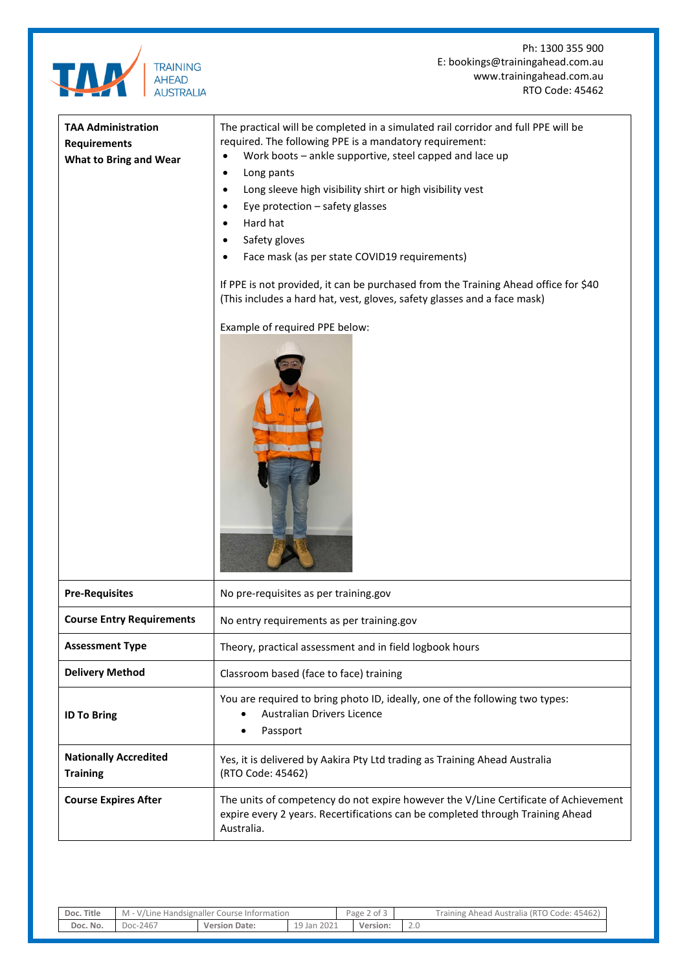

Ph: 1300 355 900 E: bookings@trainingahead.com.au www.trainingahead.com.au RTO Code: 45462

| <b>TAA Administration</b><br><b>Requirements</b><br><b>What to Bring and Wear</b> | The practical will be completed in a simulated rail corridor and full PPE will be<br>required. The following PPE is a mandatory requirement:<br>Work boots - ankle supportive, steel capped and lace up<br>$\bullet$<br>Long pants<br>$\bullet$<br>Long sleeve high visibility shirt or high visibility vest<br>$\bullet$<br>Eye protection - safety glasses<br>Hard hat<br>$\bullet$<br>Safety gloves<br>$\bullet$<br>Face mask (as per state COVID19 requirements)<br>If PPE is not provided, it can be purchased from the Training Ahead office for \$40<br>(This includes a hard hat, vest, gloves, safety glasses and a face mask)<br>Example of required PPE below: |  |  |  |
|-----------------------------------------------------------------------------------|---------------------------------------------------------------------------------------------------------------------------------------------------------------------------------------------------------------------------------------------------------------------------------------------------------------------------------------------------------------------------------------------------------------------------------------------------------------------------------------------------------------------------------------------------------------------------------------------------------------------------------------------------------------------------|--|--|--|
| <b>Pre-Requisites</b>                                                             | No pre-requisites as per training.gov                                                                                                                                                                                                                                                                                                                                                                                                                                                                                                                                                                                                                                     |  |  |  |
| <b>Course Entry Requirements</b>                                                  | No entry requirements as per training.gov                                                                                                                                                                                                                                                                                                                                                                                                                                                                                                                                                                                                                                 |  |  |  |
| <b>Assessment Type</b>                                                            | Theory, practical assessment and in field logbook hours                                                                                                                                                                                                                                                                                                                                                                                                                                                                                                                                                                                                                   |  |  |  |
| <b>Delivery Method</b>                                                            | Classroom based (face to face) training                                                                                                                                                                                                                                                                                                                                                                                                                                                                                                                                                                                                                                   |  |  |  |
| <b>ID To Bring</b>                                                                | You are required to bring photo ID, ideally, one of the following two types:<br>Australian Drivers Licence<br>$\bullet$<br>Passport<br>$\bullet$                                                                                                                                                                                                                                                                                                                                                                                                                                                                                                                          |  |  |  |
| <b>Nationally Accredited</b><br><b>Training</b>                                   | Yes, it is delivered by Aakira Pty Ltd trading as Training Ahead Australia<br>(RTO Code: 45462)                                                                                                                                                                                                                                                                                                                                                                                                                                                                                                                                                                           |  |  |  |
| <b>Course Expires After</b>                                                       | The units of competency do not expire however the V/Line Certificate of Achievement<br>expire every 2 years. Recertifications can be completed through Training Ahead<br>Australia.                                                                                                                                                                                                                                                                                                                                                                                                                                                                                       |  |  |  |

| Doc. Title | 1 - V/Line Handsignaller Course Information<br>M |                      |                               | Page<br>2 of 3 |          | Training Ahead Australia (RTO Code: 45462) |
|------------|--------------------------------------------------|----------------------|-------------------------------|----------------|----------|--------------------------------------------|
| Doc. No.   | Doc-2467                                         | <b>Version Date:</b> | 2021<br><sup>-19</sup> Jan ∠J |                | Version: | $\sim$ .                                   |